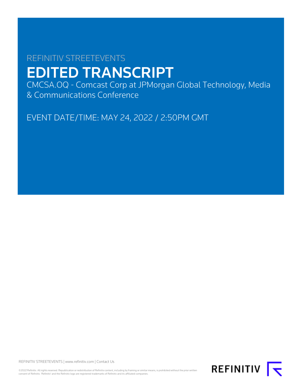# REFINITIV STREETEVENTS EDITED TRANSCRIPT

CMCSA.OQ - Comcast Corp at JPMorgan Global Technology, Media & Communications Conference

EVENT DATE/TIME: MAY 24, 2022 / 2:50PM GMT

REFINITIV STREETEVENTS | [www.refinitiv.com](https://www.refinitiv.com/) | [Contact Us](https://www.refinitiv.com/en/contact-us)

©2022 Refinitiv. All rights reserved. Republication or redistribution of Refinitiv content, including by framing or similar means, is prohibited without the prior written<br>consent of Refinitiv. 'Refinitiv' and the Refinitiv

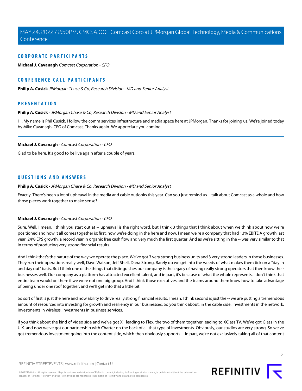#### **CORPORATE PARTICIPANTS**

**[Michael J. Cavanagh](#page-1-0)** Comcast Corporation - CFO

### **CONFERENCE CALL PARTICIPANTS**

**[Philip A. Cusick](#page-1-1)** JPMorgan Chase & Co, Research Division - MD and Senior Analyst

#### <span id="page-1-1"></span>**PRESENTATION**

#### **Philip A. Cusick** - JPMorgan Chase & Co, Research Division - MD and Senior Analyst

<span id="page-1-0"></span>Hi. My name is Phil Cusick. I follow the comm services infrastructure and media space here at JPMorgan. Thanks for joining us. We're joined today by Mike Cavanagh, CFO of Comcast. Thanks again. We appreciate you coming.

#### **Michael J. Cavanagh** - Comcast Corporation - CFO

Glad to be here. It's good to be live again after a couple of years.

#### **QUESTIONS AND ANSWERS**

**Philip A. Cusick** - JPMorgan Chase & Co, Research Division - MD and Senior Analyst

Exactly. There's been a lot of upheaval in the media and cable outlooks this year. Can you just remind us -- talk about Comcast as a whole and how those pieces work together to make sense?

#### **Michael J. Cavanagh** - Comcast Corporation - CFO

Sure. Well, I mean, I think you start out at -- upheaval is the right word, but I think 3 things that I think about when we think about how we're positioned and how it all comes together is: first, how we're doing in the here and now. I mean we're a company that had 13% EBITDA growth last year, 24% EPS growth, a record year in organic free cash flow and very much the first quarter. And as we're sitting in the -- was very similar to that in terms of producing very strong financial results.

And I think that's the nature of the way we operate the place. We've got 3 very strong business units and 3 very strong leaders in those businesses. They run their operations really well, Dave Watson, Jeff Shell, Dana Strong. Rarely do we get into the weeds of what makes them tick on a "day in and day out" basis. But I think one of the things that distinguishes our company is the legacy of having really strong operators that then know their businesses well. Our company as a platform has attracted excellent talent, and in part, it's because of what the whole represents. I don't think that entire team would be there if we were not one big group. And I think those executives and the teams around them know how to take advantage of being under one roof together, and we'll get into that a little bit.

So sort of first is just the here and now ability to drive really strong financial results. I mean, I think second is just the -- we are putting a tremendous amount of resources into investing for growth and resiliency in our businesses. So you think about, in the cable side, investments in the network, investments in wireless, investments in business services.

If you think about the kind of video side and we've got X1 leading to Flex, the two of them together leading to XClass TV. We've got Glass in the U.K. and now we've got our partnership with Charter on the back of all that type of investments. Obviously, our studios are very strong. So we've got tremendous investment going into the content side, which then obviously supports -- in part, we're not exclusively taking all of that content

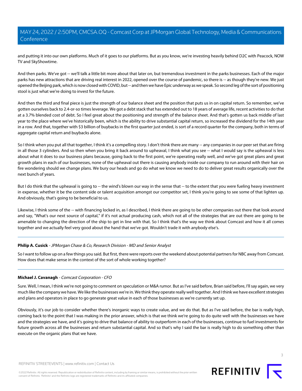and putting it into our own platforms. Much of it goes to our platforms. But as you know, we're investing heavily behind D2C with Peacock, NOW TV and SkyShowtime.

And then parks. We've got -- we'll talk a little bit more about that later on, but tremendous investment in the parks businesses. Each of the major parks has new attractions that are driving real interest in 2022, opened over the course of pandemic, so there is -- as though they're new. We just opened the Beijing park, which is now closed with COVID, but -- and then we have Epic underway as we speak. So second leg of the sort of positioning stool is just what we're doing to invest for the future.

And then the third and final piece is just the strength of our balance sheet and the position that puts us in on capital return. So remember, we've gotten ourselves back to 2.4-or-so times leverage. We got a debt stack that has extended out to 18 years of average life, recent activities to do that at a 3.7% blended cost of debt. So I feel great about the positioning and strength of the balance sheet. And that's gotten us back middle of last year to the place where we've historically been, which is the ability to drive substantial capital return, so increased the dividend for the 14th year in a row. And that, together with \$3 billion of buybacks in the first quarter just ended, is sort of a record quarter for the company, both in terms of aggregate capital return and buybacks alone.

So I think when you put all that together, I think it's a compelling story. I don't think there are many -- any companies in our peer set that are firing in all those 3 cylinders. And so then when you bring it back around to upheaval, I think what you see -- what I would say is the upheaval is less about what it does to our business plans because, going back to the first point, we're operating really well, and we've got great plans and great growth plans in each of our businesses, none of the upheaval out there is causing anybody inside our company to run around with their hair on fire wondering should we change plans. We bury our heads and go do what we know we need to do to deliver great results organically over the next bunch of years.

But I do think that the upheaval is going to -- the wind's blown our way in the sense that -- to the extent that you were fueling heavy investment in expense, whether it be the content side or talent acquisition amongst our competitor set, I think you're going to see some of that lighten up. And obviously, that's going to be beneficial to us.

Likewise, I think some of the -- with financing locked in, as I described, I think there are going to be other companies out there that look around and say, "What's our next source of capital," if it's not actual producing cash, which not all of the strategies that are out there are going to be amenable to changing the direction of the ship to get in line with that. So I think that's the way we think about Comcast and how it all comes together and we actually feel very good about the hand that we've got. Wouldn't trade it with anybody else's.

#### **Philip A. Cusick** - JPMorgan Chase & Co, Research Division - MD and Senior Analyst

So I want to follow up on a few things you said. But first, there were reports over the weekend about potential partners for NBC away from Comcast. How does that make sense in the context of the sort of whole working together?

#### **Michael J. Cavanagh** - Comcast Corporation - CFO

Sure. Well, I mean, I think we're not going to comment on speculation or M&A rumor. But as I've said before, Brian said before, I'll say again, we very much like the company we have. We like the businesses we're in. We think they operate really well together. And I think we have excellent strategies and plans and operators in place to go generate great value in each of those businesses as we're currently set up.

Obviously, it's our job to consider whether there's inorganic ways to create value, and we do that. But as I've said before, the bar is really high, coming back to the point that I was making in the prior answer, which is that we think we're going to do quite well with the businesses we have and the strategies we have, and it's going to drive that balance of ability to outperform in each of the businesses, continue to fuel investments for future growth across all the businesses and return substantial capital. And so that's why I said the bar is really high to do something other than execute on the organic plans that we have.

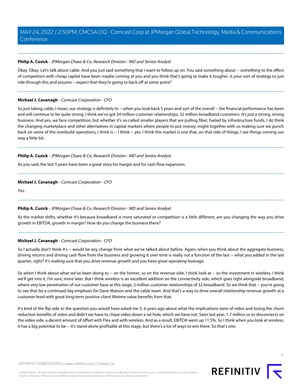#### **Philip A. Cusick** - JPMorgan Chase & Co, Research Division - MD and Senior Analyst

Okay. Okay. Let's talk about cable. And you just said something that I want to follow up on. You said something about -- something to the effect of competitors with cheap capital have been maybe coming at you and you think that's going to make it tougher. Is your sort of strategy to just ride through this and assume -- expect that they're going to back off at some point?

#### **Michael J. Cavanagh** - Comcast Corporation - CFO

So just taking cable, I mean, our strategy is definitely to -- when you look back 5 years and sort of the overall -- the financial performance has been and will continue to be quite strong. I think we've got 34 million customer relationships, 32 million broadband customers. It's just a strong, strong business. And yes, we face competition, but whether it's so-called smaller players that are pulling fiber, fueled by infrastructure funds, I do think the changing marketplace and other alternatives in capital markets where people to put money, might together with us making sure we punch back on some of the overbuild operations, I think is -- I think -- yes, I think this market is one that, on that side of things, I see things coming our way a little bit.

#### **Philip A. Cusick** - JPMorgan Chase & Co, Research Division - MD and Senior Analyst

As you said, the last 5 years have been a great story for margin and for cash flow expansion.

#### **Michael J. Cavanagh** - Comcast Corporation - CFO

Yes.

#### **Philip A. Cusick** - JPMorgan Chase & Co, Research Division - MD and Senior Analyst

As the market shifts, whether it's because broadband is more saturated or competition is a little different, are you changing the way you drive growth in EBITDA, growth in margin? How do you change the business there?

#### **Michael J. Cavanagh** - Comcast Corporation - CFO

So I actually don't think it's -- would be any change from what we've talked about before. Again, when you think about the aggregate business, driving returns and driving cash flow from the business and growing it over time is really not a function of the last -- what you added in the last quarter, right? It's making sure that you drive revenue growth and you have great operating leverage.

So when I think about what we've been doing to -- on the former, so on the revenue side, I think look at -- so the investment in wireless, I think we'll get into it, I'm sure, more later. But I think wireless is an excellent addition on the connectivity side, which goes right alongside broadband, where very low penetration of our customer base at this stage, 2 million customer relationships of 32 broadband. So we think that -- you're going to see that be a continued big emphasis for Dave Watson and the cable team. And that's a way to drive overall relationship revenue growth at a customer level with great long-term positive client lifetime value benefits from that.

It's kind of the flip side to the question you would have asked me 5, 6 years ago about what the implications were of video and losing the churn reduction benefits of video and didn't we have to chase video down a rat hole, which we have not. Seen last year, 1.7 million or so disconnects on the video side, a decent amount of offset with Flex and with wireless. And as a result, EBITDA went up 11.5%. So I think when you look at wireless, it has a big potential to be -- it's stand-alone profitable at this stage, but there's a lot of ways to win there. So that's one.

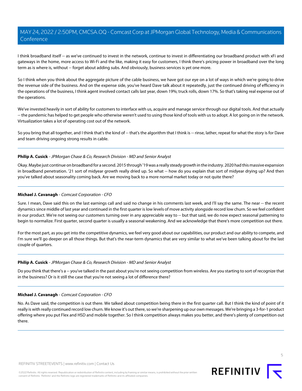I think broadband itself -- as we've continued to invest in the network, continue to invest in differentiating our broadband product with xFi and gateways in the home, more access to Wi-Fi and the like, making it easy for customers, I think there's pricing power in broadband over the long term as is where is, without -- forget about adding subs. And obviously, business services is yet one more.

So I think when you think about the aggregate picture of the cable business, we have got our eye on a lot of ways in which we're going to drive the revenue side of the business. And on the expense side, you've heard Dave talk about it repeatedly, just the continued driving of efficiency in the operations of the business, I think agent involved contact calls last year, down 19%; truck rolls, down 17%. So that's taking real expense out of the operations.

We've invested heavily in sort of ability for customers to interface with us, acquire and manage service through our digital tools. And that actually -- the pandemic has helped to get people who otherwise weren't used to using those kind of tools with us to adopt. A lot going on in the network. Virtualization takes a lot of operating cost out of the network.

So you bring that all together, and I think that's the kind of -- that's the algorithm that I think is -- rinse, lather, repeat for what the story is for Dave and team driving ongoing strong results in cable.

#### **Philip A. Cusick** - JPMorgan Chase & Co, Research Division - MD and Senior Analyst

Okay. Maybe just continue on broadband for a second. 2015 through '19 was a really steady growth in the industry. 2020 had this massive expansion in broadband penetration. '21 sort of midyear growth really dried up. So what -- how do you explain that sort of midyear drying up? And then you've talked about seasonality coming back. Are we moving back to a more normal market today or not quite there?

#### **Michael J. Cavanagh** - Comcast Corporation - CFO

Sure. I mean, Dave said this on the last earnings call and said no change in his comments last week, and I'll say the same. The near -- the recent dynamics since middle of last year and continued in the first quarter is low levels of move activity alongside record low churn. So we feel confident in our product. We're not seeing our customers turning over in any appreciable way to -- but that said, we do now expect seasonal patterning to begin to normalize. First quarter, second quarter is usually a seasonal weakening. And we acknowledge that there's more competition out there.

For the most part, as you get into the competitive dynamics, we feel very good about our capabilities, our product and our ability to compete, and I'm sure we'll go deeper on all those things. But that's the near-term dynamics that are very similar to what we've been talking about for the last couple of quarters.

#### **Philip A. Cusick** - JPMorgan Chase & Co, Research Division - MD and Senior Analyst

Do you think that there's a -- you've talked in the past about you're not seeing competition from wireless. Are you starting to sort of recognize that in the business? Or is it still the case that you're not seeing a lot of difference there?

#### **Michael J. Cavanagh** - Comcast Corporation - CFO

No. As Dave said, the competition is out there. We talked about competition being there in the first quarter call. But I think the kind of point of it really is with really continued record low churn. We know it's out there, so we're sharpening up our own messages. We're bringing a 3-for-1 product offering where you put Flex and HSD and mobile together. So I think competition always makes you better, and there's plenty of competition out there.

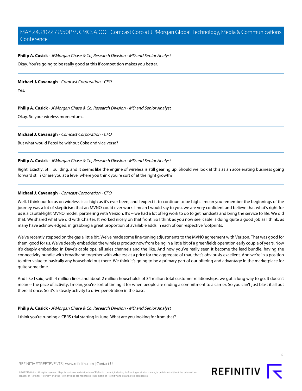#### **Philip A. Cusick** - JPMorgan Chase & Co, Research Division - MD and Senior Analyst

Okay. You're going to be really good at this if competition makes you better.

#### **Michael J. Cavanagh** - Comcast Corporation - CFO

Yes.

#### **Philip A. Cusick** - JPMorgan Chase & Co, Research Division - MD and Senior Analyst

Okay. So your wireless momentum...

#### **Michael J. Cavanagh** - Comcast Corporation - CFO

But what would Pepsi be without Coke and vice versa?

#### **Philip A. Cusick** - JPMorgan Chase & Co, Research Division - MD and Senior Analyst

Right. Exactly. Still building, and it seems like the engine of wireless is still gearing up. Should we look at this as an accelerating business going forward still? Or are you at a level where you think you're sort of at the right growth?

#### **Michael J. Cavanagh** - Comcast Corporation - CFO

Well, I think our focus on wireless is as high as it's ever been, and I expect it to continue to be high. I mean you remember the beginnings of the journey was a lot of skepticism that an MVNO could ever work. I mean I would say to you, we are very confident and believe that what's right for us is a capital-light MVNO model, partnering with Verizon. It's -- we had a lot of leg work to do to get handsets and bring the service to life. We did that. We shared what we did with Charter. It worked nicely on that front. So I think as you now see, cable is doing quite a good job as I think, as many have acknowledged, in grabbing a great proportion of available adds in each of our respective footprints.

We've recently stepped on the gas a little bit. We've made some fine-tuning adjustments to the MVNO agreement with Verizon. That was good for them, good for us. We've deeply embedded the wireless product now from being in a little bit of a greenfields operation early couple of years. Now it's deeply embedded in Dave's cable ops, all sales channels and the like. And now you've really seen it become the lead bundle, having the connectivity bundle with broadband together with wireless at a price for the aggregate of that, that's obviously excellent. And we're in a position to offer value to basically any household out there. We think it's going to be a primary part of our offering and advantage in the marketplace for quite some time.

And like I said, with 4 million lines and about 2 million households of 34 million total customer relationships, we got a long way to go. It doesn't mean -- the pace of activity, I mean, you're sort of timing it for when people are ending a commitment to a carrier. So you can't just blast it all out there at once. So it's a steady activity to drive penetration in the base.

#### **Philip A. Cusick** - JPMorgan Chase & Co, Research Division - MD and Senior Analyst

I think you're running a CBRS trial starting in June. What are you looking for from that?

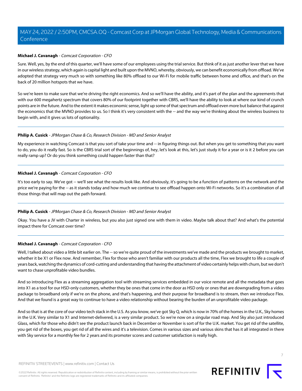#### **Michael J. Cavanagh** - Comcast Corporation - CFO

Sure. Well, yes, by the end of this quarter, we'll have some of our employees using the trial service. But think of it as just another lever that we have in our wireless strategy, which again is capital light and built upon the MVNO, whereby, obviously, we can benefit economically from offload. We've adopted that strategy very much so with something like 80% offload to our Wi-Fi for mobile traffic between home and office, and that's on the back of 20 million hotspots that we have.

So we're keen to make sure that we're driving the right economics. And so we'll have the ability, and it's part of the plan and the agreements that with our 600 megahertz spectrum that covers 80% of our footprint together with CBRS, we'll have the ability to look at where our kind of crunch points are in the future. And to the extent it makes economic sense, light up some of that spectrum and offload even more but balance that against the economics that the MVNO provides to us. So I think it's very consistent with the -- and the way we're thinking about the wireless business to begin with, and it gives us lots of optionality.

#### **Philip A. Cusick** - JPMorgan Chase & Co, Research Division - MD and Senior Analyst

My experience in watching Comcast is that you sort of take your time and -- in figuring things out. But when you get to something that you want to do, you do it really fast. So is the CBRS trial sort of the beginnings of, hey, let's look at this, let's just study it for a year or is it 2 before you can really ramp up? Or do you think something could happen faster than that?

#### **Michael J. Cavanagh** - Comcast Corporation - CFO

It's too early to say. We've got -- we'll see what the results look like. And obviously, it's going to be a function of patterns on the network and the price we're paying for the -- as it stands today and how much we continue to see offload happen onto Wi-Fi networks. So it's a combination of all those things that will map out the path forward.

#### **Philip A. Cusick** - JPMorgan Chase & Co, Research Division - MD and Senior Analyst

Okay. You have a JV with Charter in wireless, but you also just signed one with them in video. Maybe talk about that? And what's the potential impact there for Comcast over time?

#### **Michael J. Cavanagh** - Comcast Corporation - CFO

Well, I talked about video a little bit earlier on. The -- so we're quite proud of the investments we've made and the products we brought to market, whether it be X1 or Flex now. And remember, Flex for those who aren't familiar with our products all the time, Flex we brought to life a couple of years back, watching the dynamics of cord-cutting and understanding that having the attachment of video certainly helps with churn, but we don't want to chase unprofitable video bundles.

And so introducing Flex as a streaming aggregation tool with streaming services embedded in our voice remote and all the metadata that goes into X1 as a tool for our HSD-only customers, whether they be ones that come in the door as HSD only or ones that are downgrading from a video package to broadband only if we're on the phone, and that's happening, and their purpose for broadband is to stream, then we introduce Flex. And that we found is a great way to continue to have a video relationship without bearing the burden of an unprofitable video package.

And so that is at the core of our video tech stack in the U.S. As you know, we've got Sky Q, which is now in 70% of the homes in the U.K., Sky homes in the U.K. Very similar to X1 and Internet-delivered, is a very similar product. So we're now on a singular road map. And Sky also just introduced Glass, which for those who didn't see the product launch back in December or November is sort of for the U.K. market. You get rid of the satellite, you get rid of the boxes, you get rid of all the wires and it's a television. Comes in various sizes and various skins that has it all integrated in there with Sky service for a monthly fee for 2 years and its promoter scores and customer satisfaction is really high.

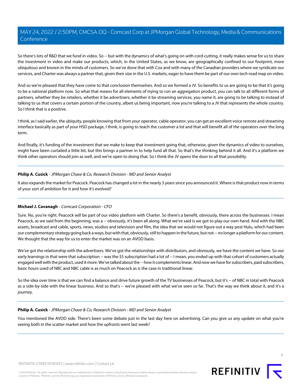So there's lots of R&D that we fund in video. So -- but with the dynamics of what's going on with cord-cutting, it really makes sense for us to share the investment in video and make our products, which, in the United States, as we know, are geographically confined to our footprint, more ubiquitous and known in the minds of customers. So we've done that with Cox and with many of the Canadian providers where we syndicate our services, and Charter was always a partner that, given their size in the U.S. markets, eager to have them be part of our own tech road map on video.

And so we're pleased that they have come to that conclusion themselves. And so we formed a JV. So benefits to us are going to be that it's going to be a national platform now. So what that means for all elements of trying to run an aggregation product, you can talk to all different forms of partners, whether they be retailers, whether it be advertisers, whether it be streaming services, you name it, are going to be talking to instead of talking to us that covers a certain portion of the country, albeit us being important, now you're talking to a JV that represents the whole country. So I think that is a positive.

I think, as I said earlier, the ubiquity, people knowing that from your operator, cable operator, you can get an excellent voice remote and streaming interface basically as part of your HSD package, I think, is going to teach the customer a lot and that will benefit all of the operators over the long term.

And finally, it's funding of the investment that we make to keep that investment going that, otherwise, given the dynamics of video to ourselves, might have been curtailed a little bit, but this brings a partner in to help fund all that. So that's the thinking behind it all. And it's a platform we think other operators should join as well, and we're open to doing that. So I think the JV opens the door to all that possibility.

#### **Philip A. Cusick** - JPMorgan Chase & Co, Research Division - MD and Senior Analyst

It also expands the market for Peacock. Peacock has changed a lot in the nearly 3 years since you announced it. Where is that product now in terms of your sort of ambition for it and how it's evolved?

### **Michael J. Cavanagh** - Comcast Corporation - CFO

Sure. No, you're right. Peacock will be part of our video platform with Charter. So there's a benefit, obviously, there across the businesses. I mean Peacock, as we said from the beginning, was a -- obviously, it's been all along. What we've said is we got to play our own hand. And with the NBC assets, broadcast and cable, sports, news, studios and television and film, the idea that we would not figure out a way post Hulu, which had been our complementary strategy going back a ways, but with that, obviously, still to happen in the future, but not -- no longer a platform for our content. We thought that the way for us to enter the market was on an AVOD basis.

We've got the relationship with the advertisers. We've got the relationships with distributors, and obviously, we have the content we have. So our early learnings in that were that subscription -- was the \$5 subscription had a lot of -- I mean, you ended up with that cohort of customers actually engaged well with the product, used it more. We've talked about the -- how it complements linear. And now we have for subscribers, paid subscribers, basic hours used of NBC and NBC cable is as much on Peacock as is the case in traditional linear.

So the idea over time is that we can find a balance and drive future growth of the TV businesses of Peacock, but it's -- of NBC in total with Peacock as a side-by-side with the linear business. And so that's -- we're pleased with what we've seen so far. That's the way we think about it, and it's a journey.

#### **Philip A. Cusick** - JPMorgan Chase & Co, Research Division - MD and Senior Analyst

You mentioned the AVOD side. There's been some debate just in the last day here on advertising. Can you give us any update on what you're seeing both in the scatter market and how the upfronts went last week?

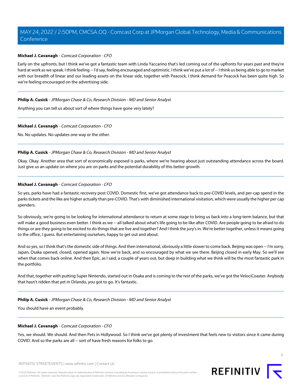#### **Michael J. Cavanagh** - Comcast Corporation - CFO

Early on the upfronts, but I think we've got a fantastic team with Linda Yaccarino that's led coming out of the upfronts for years past and they're hard at work as we speak. I think feeling -- I'd say, feeling encouraged and optimistic. I think we've put a lot of -- I think us being able to go to market with our breadth of linear and our leading assets on the linear side, together with Peacock, I think demand for Peacock has been quite high. So we're feeling encouraged on the advertising side.

#### **Philip A. Cusick** - JPMorgan Chase & Co, Research Division - MD and Senior Analyst

Anything you can tell us about sort of where things have gone very lately?

#### **Michael J. Cavanagh** - Comcast Corporation - CFO

No. No updates. No updates one way or the other.

#### **Philip A. Cusick** - JPMorgan Chase & Co, Research Division - MD and Senior Analyst

Okay. Okay. Another area that sort of economically exposed is parks, where we're hearing about just outstanding attendance across the board. Just give us an update on where you are on parks and the potential durability of this better growth.

#### **Michael J. Cavanagh** - Comcast Corporation - CFO

So yes, parks have had a fantastic recovery post COVID. Domestic first, we've got attendance back to pre-COVID levels, and per-cap spend in the parks tickets and the like are higher actually than pre-COVID. That's with diminished international visitation, which were usually the higher per cap spenders.

So obviously, we're going to be looking for international attendance to return at some stage to bring us back into a long-term balance, but that will make a good business even better. I think as we -- all talked about what's life going to be like after COVID. Are people going to be afraid to do things or are they going to be excited to do things that are live and together? And I think the jury's in. We're better together, unless it means going to the office, I guess. But entertaining ourselves, happy to get out and about.

And so yes, so I think that's the domestic side of things. And then international, obviously a little slower to come back. Beijing was open -- I'm sorry, Japan, Osaka opened, closed, opened again. Now we're back, and so encouraged by what we see there. Beijing closed in early May. So we'll see when that comes back online. And then Epic, as I said, a couple of years out, but deep in building what we think will be the most fantastic park in the portfolio.

And that, together with putting Super Nintendo, started out in Osaka and is coming to the rest of the parks, we've got the VelociCoaster. Anybody that hasn't ridden that yet in Orlando, you got to go. It's fantastic.

#### **Philip A. Cusick** - JPMorgan Chase & Co, Research Division - MD and Senior Analyst

You should have an event probably.

#### **Michael J. Cavanagh** - Comcast Corporation - CFO

Yes, we should. We should. And then Pets in Hollywood. So I think we've got plenty of investment that feels new to visitors since it came during COVID. And so the parks are all -- sort of have fresh reasons for folks to go.

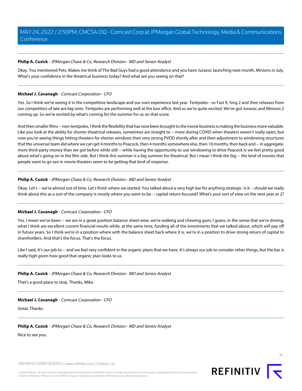#### **Philip A. Cusick** - JPMorgan Chase & Co, Research Division - MD and Senior Analyst

Okay. You mentioned Pets. Makes me think of The Bad Guys had a good attendance and you have Jurassic launching next month, Minions in July. What's your confidence in the theatrical business today? And what are you seeing on that?

#### **Michael J. Cavanagh** - Comcast Corporation - CFO

Yes. So I think we're seeing it in the competitive landscape and our own experience last year. Tentpoles-- so Fast 9, Sing 2 and then releases from our competitors of late are big ones. Tentpoles are performing well at the box office. And so we're quite excited. We've got Jurassic and Minions 2 coming up. So we're excited by what's coming for the summer for us on that score.

And then smaller films -- non-tentpoles, I think the flexibility that has now been brought to the movie business is making the business more valuable. Like you look at the ability for shorter theatrical releases, sometimes are straight to -- more during COVID when theaters weren't really open, but now you're seeing things hitting theaters for shorter windows then very strong PVOD shortly after and then adjustment to windowing structures that the universal team did where we can get 4 months to Peacock, then 4 months somewhere else, then 10 months, then back and -- in aggregate, more third-party money than we got before while still -- while having the opportunity to use windowing to drive Peacock is we feel pretty good about what's going on in the film side. But I think this summer is a big summer for theatrical. But I mean I think the big -- the kind of movies that people want to go see in movie theaters seem to be getting that kind of response.

#### **Philip A. Cusick** - JPMorgan Chase & Co, Research Division - MD and Senior Analyst

Okay. Let's -- we're almost out of time. Let's finish where we started. You talked about a very high bar for anything strategic. Is it -- should we really think about this as a sort of the company is mostly where you want to be -- capital return-focused? What's your sort of view on the next year or 2?

#### **Michael J. Cavanagh** - Comcast Corporation - CFO

Yes. I mean we've been -- we are in a great position balance sheet-wise, we're walking and chewing gum, I guess, in the sense that we're driving, what I think are excellent current financial results while, at the same time, funding all of the investments that we talked about, which will pay off in future years. So I think we're in a position where with the balance sheet back where it is, we're in a position to drive strong return of capital to shareholders. And that's the focus. That's the focus.

Like I said, it's our job to -- and we feel very confident in the organic plans that we have. It's always our job to consider other things, but the bar is really high given how good that organic plan looks to us.

### **Philip A. Cusick** - JPMorgan Chase & Co, Research Division - MD and Senior Analyst

That's a good place to stop. Thanks, Mike.

#### **Michael J. Cavanagh** - Comcast Corporation - CFO

Great. Thanks.

#### **Philip A. Cusick** - JPMorgan Chase & Co, Research Division - MD and Senior Analyst

Nice to see you.

REFINITIV STREETEVENTS | [www.refinitiv.com](https://www.refinitiv.com/) | [Contact Us](https://www.refinitiv.com/en/contact-us)